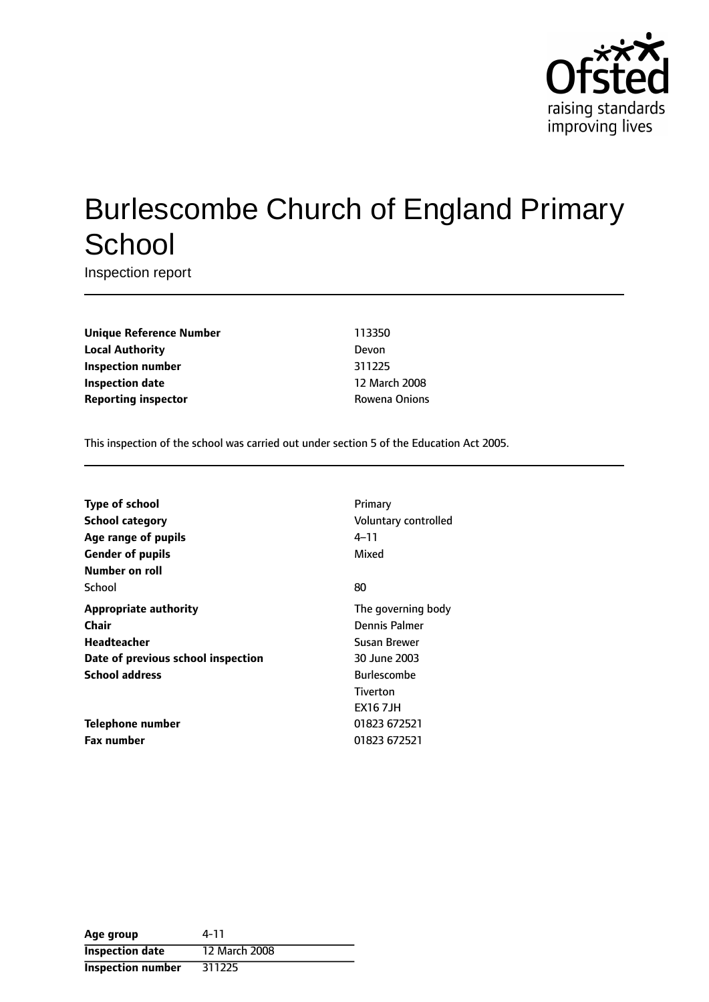

# Burlescombe Church of England Primary **School**

Inspection report

**Unique Reference Number** 113350 **Local Authority** Devon **Inspection number** 311225 **Inspection date** 12 March 2008 **Reporting inspector CONFIDENTIAL ROWEN Rowena Onions** 

This inspection of the school was carried out under section 5 of the Education Act 2005.

| <b>Type of school</b>              | Primary              |
|------------------------------------|----------------------|
| School category                    | Voluntary controlled |
| Age range of pupils                | 4–11                 |
| <b>Gender of pupils</b>            | Mixed                |
| Number on roll                     |                      |
| School                             | 80                   |
| <b>Appropriate authority</b>       | The governing body   |
| Chair                              | Dennis Palmer        |
| <b>Headteacher</b>                 | Susan Brewer         |
| Date of previous school inspection | 30 June 2003         |
| <b>School address</b>              | <b>Burlescombe</b>   |
|                                    | Tiverton             |
|                                    | <b>EX167JH</b>       |
| Telephone number                   | 01823 672521         |
| <b>Fax number</b>                  | 01823 672521         |

| Age group                | 4-11          |
|--------------------------|---------------|
| <b>Inspection date</b>   | 12 March 2008 |
| <b>Inspection number</b> | 311225        |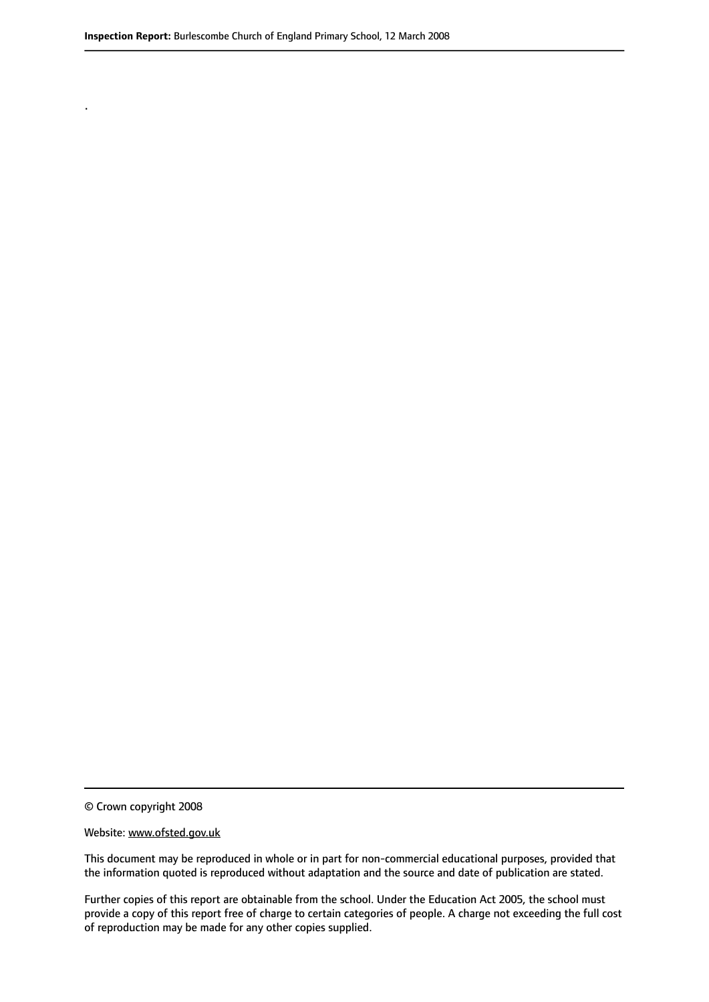.

© Crown copyright 2008

#### Website: www.ofsted.gov.uk

This document may be reproduced in whole or in part for non-commercial educational purposes, provided that the information quoted is reproduced without adaptation and the source and date of publication are stated.

Further copies of this report are obtainable from the school. Under the Education Act 2005, the school must provide a copy of this report free of charge to certain categories of people. A charge not exceeding the full cost of reproduction may be made for any other copies supplied.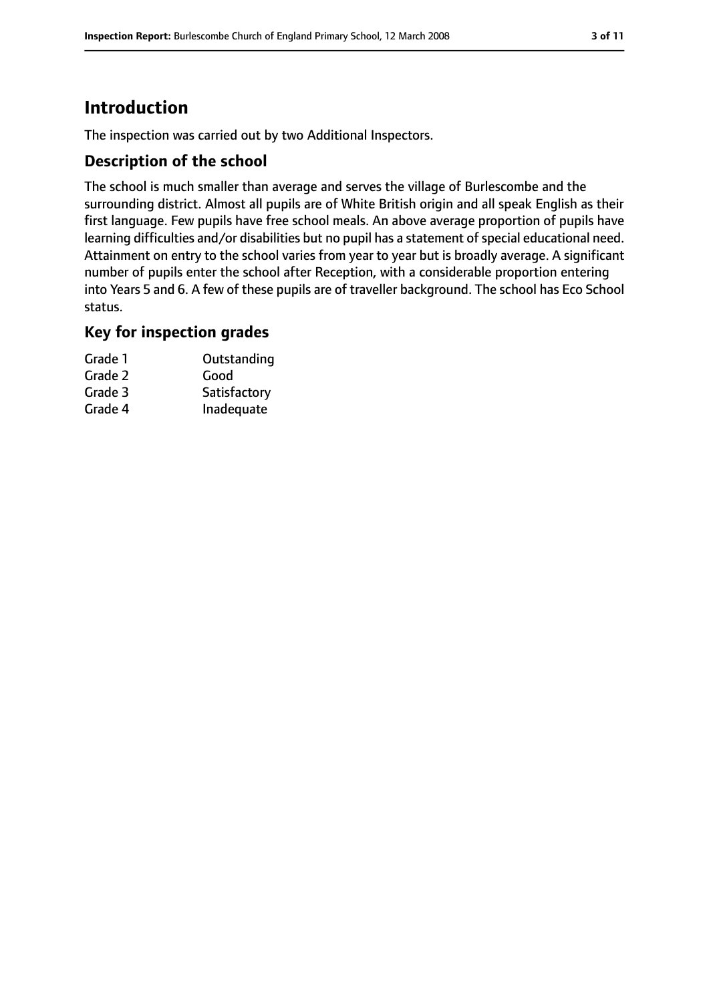# **Introduction**

The inspection was carried out by two Additional Inspectors.

## **Description of the school**

The school is much smaller than average and serves the village of Burlescombe and the surrounding district. Almost all pupils are of White British origin and all speak English as their first language. Few pupils have free school meals. An above average proportion of pupils have learning difficulties and/or disabilities but no pupil has a statement of special educational need. Attainment on entry to the school varies from year to year but is broadly average. A significant number of pupils enter the school after Reception, with a considerable proportion entering into Years 5 and 6. A few of these pupils are of traveller background. The school has Eco School status.

## **Key for inspection grades**

| Grade 1 | Outstanding  |
|---------|--------------|
| Grade 2 | Good         |
| Grade 3 | Satisfactory |
| Grade 4 | Inadequate   |
|         |              |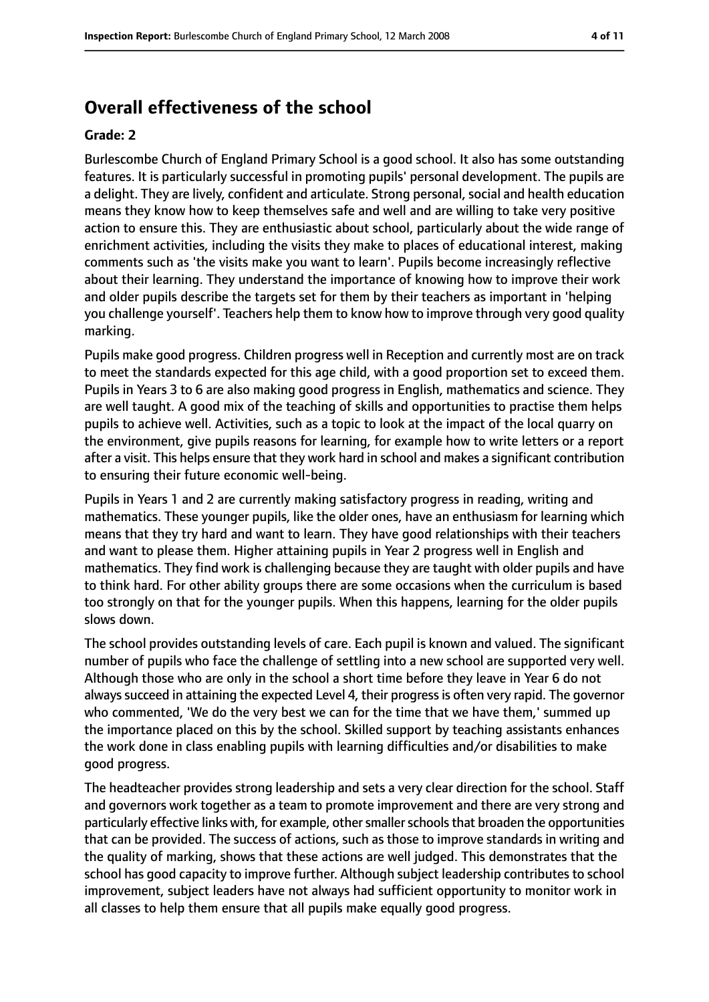# **Overall effectiveness of the school**

#### **Grade: 2**

Burlescombe Church of England Primary School is a good school. It also has some outstanding features. It is particularly successful in promoting pupils' personal development. The pupils are a delight. They are lively, confident and articulate. Strong personal, social and health education means they know how to keep themselves safe and well and are willing to take very positive action to ensure this. They are enthusiastic about school, particularly about the wide range of enrichment activities, including the visits they make to places of educational interest, making comments such as 'the visits make you want to learn'. Pupils become increasingly reflective about their learning. They understand the importance of knowing how to improve their work and older pupils describe the targets set for them by their teachers as important in 'helping you challenge yourself'. Teachers help them to know how to improve through very good quality marking.

Pupils make good progress. Children progress well in Reception and currently most are on track to meet the standards expected for this age child, with a good proportion set to exceed them. Pupils in Years 3 to 6 are also making good progress in English, mathematics and science. They are well taught. A good mix of the teaching of skills and opportunities to practise them helps pupils to achieve well. Activities, such as a topic to look at the impact of the local quarry on the environment, give pupils reasons for learning, for example how to write letters or a report after a visit. This helps ensure that they work hard in school and makes a significant contribution to ensuring their future economic well-being.

Pupils in Years 1 and 2 are currently making satisfactory progress in reading, writing and mathematics. These younger pupils, like the older ones, have an enthusiasm for learning which means that they try hard and want to learn. They have good relationships with their teachers and want to please them. Higher attaining pupils in Year 2 progress well in English and mathematics. They find work is challenging because they are taught with older pupils and have to think hard. For other ability groups there are some occasions when the curriculum is based too strongly on that for the younger pupils. When this happens, learning for the older pupils slows down.

The school provides outstanding levels of care. Each pupil is known and valued. The significant number of pupils who face the challenge of settling into a new school are supported very well. Although those who are only in the school a short time before they leave in Year 6 do not always succeed in attaining the expected Level 4, their progress is often very rapid. The governor who commented, 'We do the very best we can for the time that we have them,' summed up the importance placed on this by the school. Skilled support by teaching assistants enhances the work done in class enabling pupils with learning difficulties and/or disabilities to make good progress.

The headteacher provides strong leadership and sets a very clear direction for the school. Staff and governors work together as a team to promote improvement and there are very strong and particularly effective links with, for example, othersmallerschoolsthat broaden the opportunities that can be provided. The success of actions, such as those to improve standards in writing and the quality of marking, shows that these actions are well judged. This demonstrates that the school has good capacity to improve further. Although subject leadership contributes to school improvement, subject leaders have not always had sufficient opportunity to monitor work in all classes to help them ensure that all pupils make equally good progress.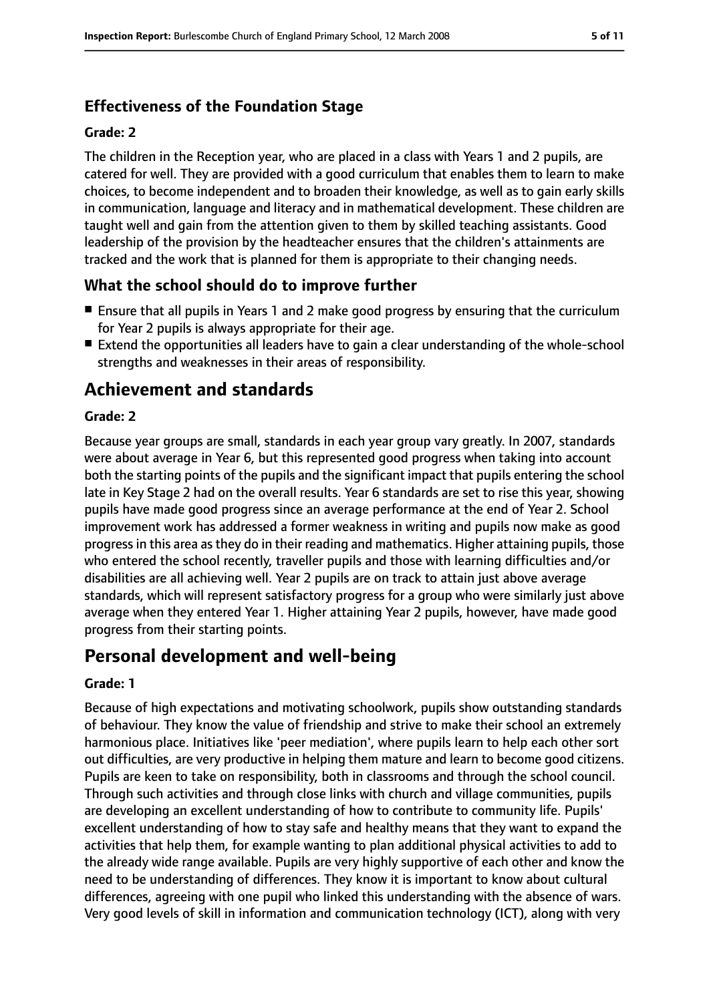# **Effectiveness of the Foundation Stage**

#### **Grade: 2**

The children in the Reception year, who are placed in a class with Years 1 and 2 pupils, are catered for well. They are provided with a good curriculum that enables them to learn to make choices, to become independent and to broaden their knowledge, as well as to gain early skills in communication, language and literacy and in mathematical development. These children are taught well and gain from the attention given to them by skilled teaching assistants. Good leadership of the provision by the headteacher ensures that the children's attainments are tracked and the work that is planned for them is appropriate to their changing needs.

# **What the school should do to improve further**

- Ensure that all pupils in Years 1 and 2 make good progress by ensuring that the curriculum for Year 2 pupils is always appropriate for their age.
- Extend the opportunities all leaders have to gain a clear understanding of the whole-school strengths and weaknesses in their areas of responsibility.

# **Achievement and standards**

#### **Grade: 2**

Because year groups are small, standards in each year group vary greatly. In 2007, standards were about average in Year 6, but this represented good progress when taking into account both the starting points of the pupils and the significant impact that pupils entering the school late in Key Stage 2 had on the overall results. Year 6 standards are set to rise this year, showing pupils have made good progress since an average performance at the end of Year 2. School improvement work has addressed a former weakness in writing and pupils now make as good progressin this area asthey do in their reading and mathematics. Higher attaining pupils, those who entered the school recently, traveller pupils and those with learning difficulties and/or disabilities are all achieving well. Year 2 pupils are on track to attain just above average standards, which will represent satisfactory progress for a group who were similarly just above average when they entered Year 1. Higher attaining Year 2 pupils, however, have made good progress from their starting points.

# **Personal development and well-being**

#### **Grade: 1**

Because of high expectations and motivating schoolwork, pupils show outstanding standards of behaviour. They know the value of friendship and strive to make their school an extremely harmonious place. Initiatives like 'peer mediation', where pupils learn to help each other sort out difficulties, are very productive in helping them mature and learn to become good citizens. Pupils are keen to take on responsibility, both in classrooms and through the school council. Through such activities and through close links with church and village communities, pupils are developing an excellent understanding of how to contribute to community life. Pupils' excellent understanding of how to stay safe and healthy means that they want to expand the activities that help them, for example wanting to plan additional physical activities to add to the already wide range available. Pupils are very highly supportive of each other and know the need to be understanding of differences. They know it is important to know about cultural differences, agreeing with one pupil who linked this understanding with the absence of wars. Very good levels of skill in information and communication technology (ICT), along with very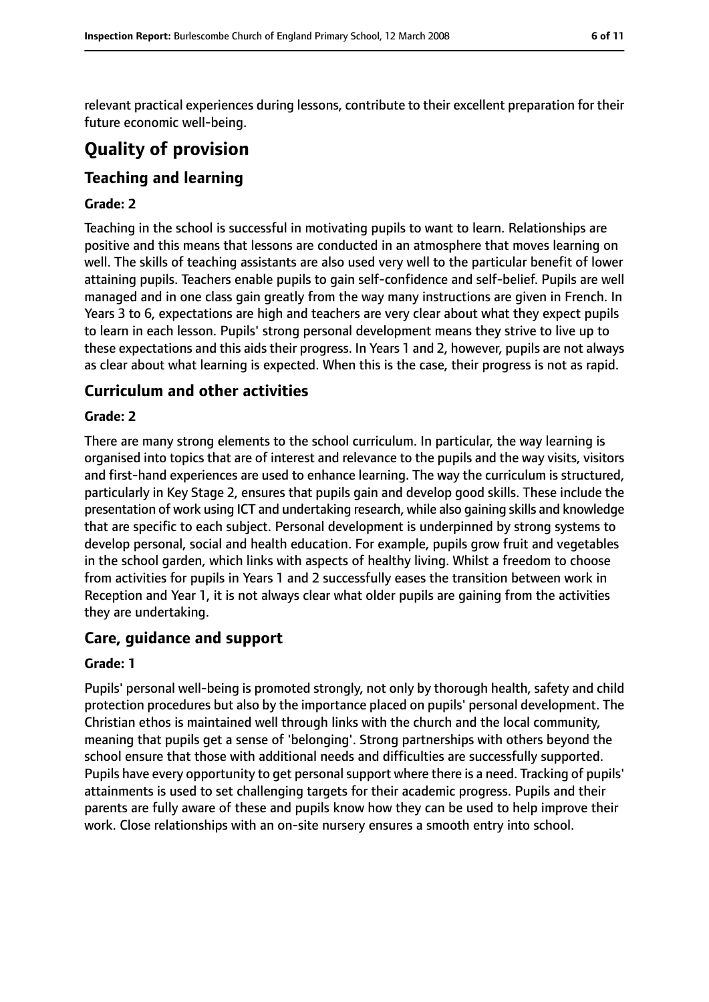relevant practical experiences during lessons, contribute to their excellent preparation for their future economic well-being.

# **Quality of provision**

# **Teaching and learning**

#### **Grade: 2**

Teaching in the school is successful in motivating pupils to want to learn. Relationships are positive and this means that lessons are conducted in an atmosphere that moves learning on well. The skills of teaching assistants are also used very well to the particular benefit of lower attaining pupils. Teachers enable pupils to gain self-confidence and self-belief. Pupils are well managed and in one class gain greatly from the way many instructions are given in French. In Years 3 to 6, expectations are high and teachers are very clear about what they expect pupils to learn in each lesson. Pupils' strong personal development means they strive to live up to these expectations and this aids their progress. In Years 1 and 2, however, pupils are not always as clear about what learning is expected. When this is the case, their progress is not as rapid.

## **Curriculum and other activities**

#### **Grade: 2**

There are many strong elements to the school curriculum. In particular, the way learning is organised into topics that are of interest and relevance to the pupils and the way visits, visitors and first-hand experiences are used to enhance learning. The way the curriculum is structured, particularly in Key Stage 2, ensures that pupils gain and develop good skills. These include the presentation of work using ICT and undertaking research, while also gaining skills and knowledge that are specific to each subject. Personal development is underpinned by strong systems to develop personal, social and health education. For example, pupils grow fruit and vegetables in the school garden, which links with aspects of healthy living. Whilst a freedom to choose from activities for pupils in Years 1 and 2 successfully eases the transition between work in Reception and Year 1, it is not always clear what older pupils are gaining from the activities they are undertaking.

## **Care, guidance and support**

#### **Grade: 1**

Pupils' personal well-being is promoted strongly, not only by thorough health, safety and child protection procedures but also by the importance placed on pupils' personal development. The Christian ethos is maintained well through links with the church and the local community, meaning that pupils get a sense of 'belonging'. Strong partnerships with others beyond the school ensure that those with additional needs and difficulties are successfully supported. Pupils have every opportunity to get personal support where there is a need. Tracking of pupils' attainments is used to set challenging targets for their academic progress. Pupils and their parents are fully aware of these and pupils know how they can be used to help improve their work. Close relationships with an on-site nursery ensures a smooth entry into school.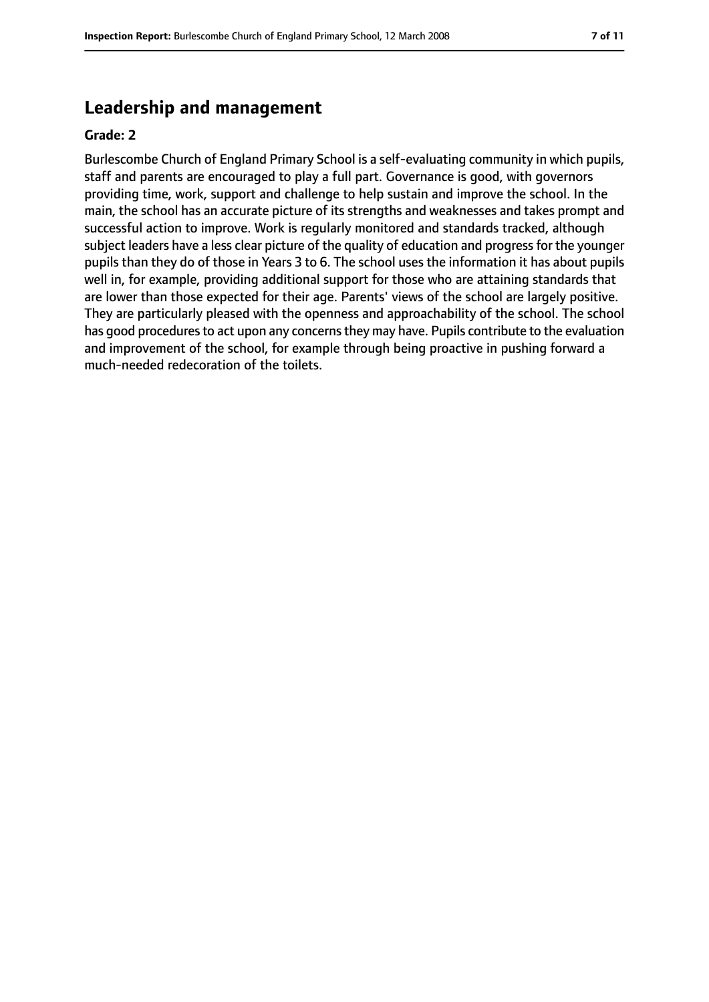# **Leadership and management**

#### **Grade: 2**

Burlescombe Church of England Primary School is a self-evaluating community in which pupils, staff and parents are encouraged to play a full part. Governance is good, with governors providing time, work, support and challenge to help sustain and improve the school. In the main, the school has an accurate picture of its strengths and weaknesses and takes prompt and successful action to improve. Work is regularly monitored and standards tracked, although subject leaders have a less clear picture of the quality of education and progress for the younger pupils than they do of those in Years 3 to 6. The school uses the information it has about pupils well in, for example, providing additional support for those who are attaining standards that are lower than those expected for their age. Parents' views of the school are largely positive. They are particularly pleased with the openness and approachability of the school. The school has good procedures to act upon any concerns they may have. Pupils contribute to the evaluation and improvement of the school, for example through being proactive in pushing forward a much-needed redecoration of the toilets.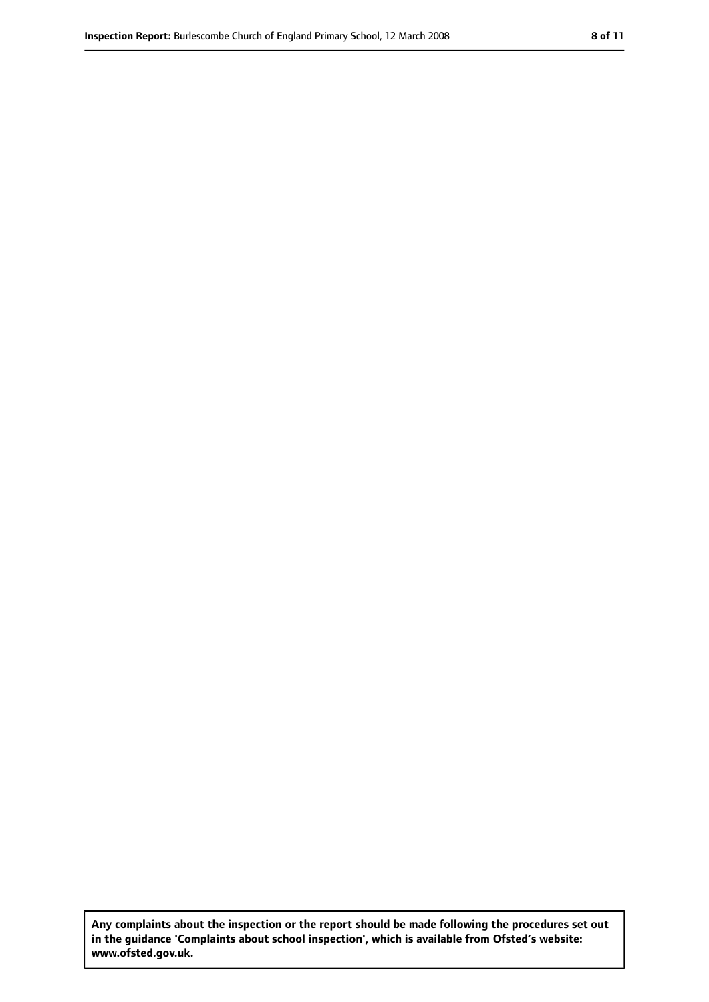**Any complaints about the inspection or the report should be made following the procedures set out in the guidance 'Complaints about school inspection', which is available from Ofsted's website: www.ofsted.gov.uk.**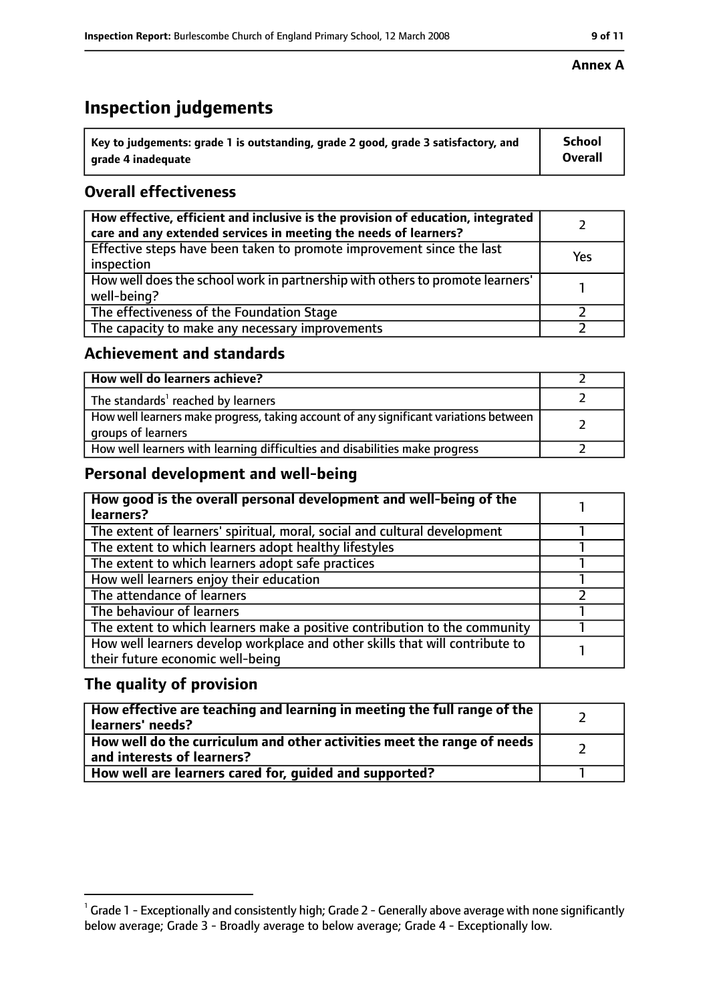# **Inspection judgements**

| $^{\backprime}$ Key to judgements: grade 1 is outstanding, grade 2 good, grade 3 satisfactory, and | <b>School</b>  |
|----------------------------------------------------------------------------------------------------|----------------|
| arade 4 inadeguate                                                                                 | <b>Overall</b> |

# **Overall effectiveness**

| How effective, efficient and inclusive is the provision of education, integrated<br>care and any extended services in meeting the needs of learners? |     |
|------------------------------------------------------------------------------------------------------------------------------------------------------|-----|
| Effective steps have been taken to promote improvement since the last<br>inspection                                                                  | Yes |
| How well does the school work in partnership with others to promote learners'<br>well-being?                                                         |     |
| The effectiveness of the Foundation Stage                                                                                                            |     |
| The capacity to make any necessary improvements                                                                                                      |     |

## **Achievement and standards**

| How well do learners achieve?                                                                               |  |
|-------------------------------------------------------------------------------------------------------------|--|
| The standards <sup>1</sup> reached by learners                                                              |  |
| How well learners make progress, taking account of any significant variations between<br>groups of learners |  |
| How well learners with learning difficulties and disabilities make progress                                 |  |

# **Personal development and well-being**

| How good is the overall personal development and well-being of the<br>learners?                                  |  |
|------------------------------------------------------------------------------------------------------------------|--|
| The extent of learners' spiritual, moral, social and cultural development                                        |  |
| The extent to which learners adopt healthy lifestyles                                                            |  |
| The extent to which learners adopt safe practices                                                                |  |
| How well learners enjoy their education                                                                          |  |
| The attendance of learners                                                                                       |  |
| The behaviour of learners                                                                                        |  |
| The extent to which learners make a positive contribution to the community                                       |  |
| How well learners develop workplace and other skills that will contribute to<br>their future economic well-being |  |

# **The quality of provision**

| How effective are teaching and learning in meeting the full range of the<br>learners' needs?          |  |
|-------------------------------------------------------------------------------------------------------|--|
| How well do the curriculum and other activities meet the range of needs<br>and interests of learners? |  |
| How well are learners cared for, quided and supported?                                                |  |

#### **Annex A**

 $^1$  Grade 1 - Exceptionally and consistently high; Grade 2 - Generally above average with none significantly below average; Grade 3 - Broadly average to below average; Grade 4 - Exceptionally low.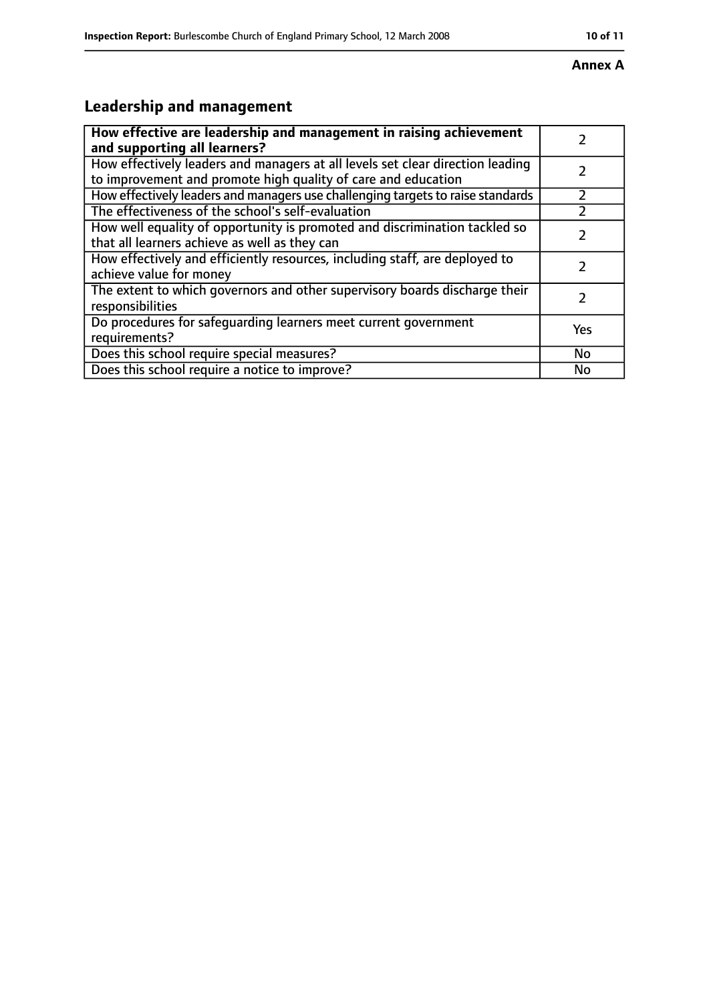#### **Annex A**

# **Leadership and management**

| How effective are leadership and management in raising achievement<br>and supporting all learners?                                              |     |
|-------------------------------------------------------------------------------------------------------------------------------------------------|-----|
| How effectively leaders and managers at all levels set clear direction leading<br>to improvement and promote high quality of care and education |     |
| How effectively leaders and managers use challenging targets to raise standards                                                                 |     |
| The effectiveness of the school's self-evaluation                                                                                               |     |
| How well equality of opportunity is promoted and discrimination tackled so<br>that all learners achieve as well as they can                     |     |
| How effectively and efficiently resources, including staff, are deployed to<br>achieve value for money                                          | 7   |
| The extent to which governors and other supervisory boards discharge their<br>responsibilities                                                  |     |
| Do procedures for safequarding learners meet current government<br>requirements?                                                                | Yes |
| Does this school require special measures?                                                                                                      | No  |
| Does this school require a notice to improve?                                                                                                   | No  |